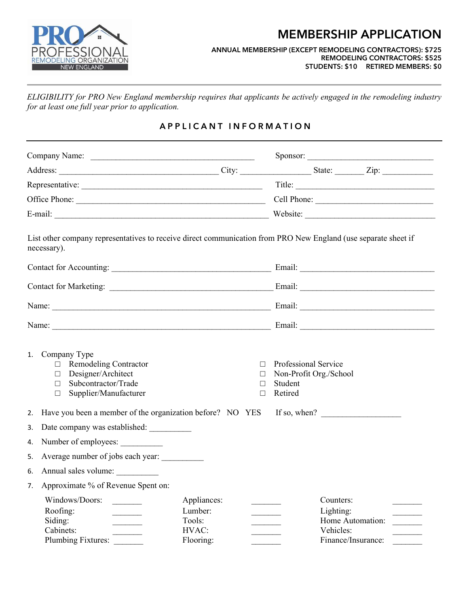

## MEMBERSHIP APPLICATION

## ANNUAL MEMBERSHIP (EXCEPT REMODELING CONTRACTORS): \$725 REMODELING CONTRACTORS: \$525 STUDENTS: \$10 RETIRED MEMBERS: \$0

ELIGIBILITY for PRO New England membership requires that applicants be actively engaged in the remodeling industry for at least one full year prior to application.

## A P P L I C A N T I N F O R M A T I O N

|                                                                                                                                                                                                                                                                                                                                                                                                                                                                                                                                                                                                                                                                                                |                                                           | Title: $\qquad \qquad$                                                                                         |  |
|------------------------------------------------------------------------------------------------------------------------------------------------------------------------------------------------------------------------------------------------------------------------------------------------------------------------------------------------------------------------------------------------------------------------------------------------------------------------------------------------------------------------------------------------------------------------------------------------------------------------------------------------------------------------------------------------|-----------------------------------------------------------|----------------------------------------------------------------------------------------------------------------|--|
|                                                                                                                                                                                                                                                                                                                                                                                                                                                                                                                                                                                                                                                                                                |                                                           | Cell Phone:                                                                                                    |  |
|                                                                                                                                                                                                                                                                                                                                                                                                                                                                                                                                                                                                                                                                                                |                                                           | Website:                                                                                                       |  |
| necessary).                                                                                                                                                                                                                                                                                                                                                                                                                                                                                                                                                                                                                                                                                    |                                                           | List other company representatives to receive direct communication from PRO New England (use separate sheet if |  |
|                                                                                                                                                                                                                                                                                                                                                                                                                                                                                                                                                                                                                                                                                                |                                                           |                                                                                                                |  |
|                                                                                                                                                                                                                                                                                                                                                                                                                                                                                                                                                                                                                                                                                                |                                                           |                                                                                                                |  |
|                                                                                                                                                                                                                                                                                                                                                                                                                                                                                                                                                                                                                                                                                                |                                                           |                                                                                                                |  |
|                                                                                                                                                                                                                                                                                                                                                                                                                                                                                                                                                                                                                                                                                                |                                                           |                                                                                                                |  |
| 1. Company Type<br>$\Box$ Remodeling Contractor<br>$\Box$ Designer/Architect<br>□ Subcontractor/Trade<br>Supplier/Manufacturer<br>$\Box$                                                                                                                                                                                                                                                                                                                                                                                                                                                                                                                                                       |                                                           | Professional Service<br>$\Box$<br>Non-Profit Org./School<br>$\Box$<br>Student<br>$\Box$<br>Retired<br>П        |  |
| 2.                                                                                                                                                                                                                                                                                                                                                                                                                                                                                                                                                                                                                                                                                             | Have you been a member of the organization before? NO YES | If so, when?                                                                                                   |  |
| Date company was established: __________<br>3.                                                                                                                                                                                                                                                                                                                                                                                                                                                                                                                                                                                                                                                 |                                                           |                                                                                                                |  |
| Number of employees:<br>4.                                                                                                                                                                                                                                                                                                                                                                                                                                                                                                                                                                                                                                                                     |                                                           |                                                                                                                |  |
| Average number of jobs each year:<br>5.                                                                                                                                                                                                                                                                                                                                                                                                                                                                                                                                                                                                                                                        |                                                           |                                                                                                                |  |
| Annual sales volume:<br>6.                                                                                                                                                                                                                                                                                                                                                                                                                                                                                                                                                                                                                                                                     |                                                           |                                                                                                                |  |
| Approximate % of Revenue Spent on:<br>7.                                                                                                                                                                                                                                                                                                                                                                                                                                                                                                                                                                                                                                                       |                                                           |                                                                                                                |  |
| Windows/Doors:<br>Roofing:<br>Siding:<br>$\begin{array}{c} \begin{array}{c} \begin{array}{c} \begin{array}{c} \end{array} \\ \end{array} \end{array} \end{array} \end{array}$<br>Cabinets:<br>$\frac{1}{2} \left( \frac{1}{2} \right) \left( \frac{1}{2} \right) \left( \frac{1}{2} \right) \left( \frac{1}{2} \right) \left( \frac{1}{2} \right) \left( \frac{1}{2} \right) \left( \frac{1}{2} \right) \left( \frac{1}{2} \right) \left( \frac{1}{2} \right) \left( \frac{1}{2} \right) \left( \frac{1}{2} \right) \left( \frac{1}{2} \right) \left( \frac{1}{2} \right) \left( \frac{1}{2} \right) \left( \frac{1}{2} \right) \left( \frac{1}{2} \right) \left( \frac$<br>Plumbing Fixtures: | Appliances:<br>Lumber:<br>Tools:<br>HVAC:<br>Flooring:    | Counters:<br>Lighting:<br>Home Automation:<br>Vehicles:<br>$\overline{\phantom{a}}$<br>Finance/Insurance:      |  |